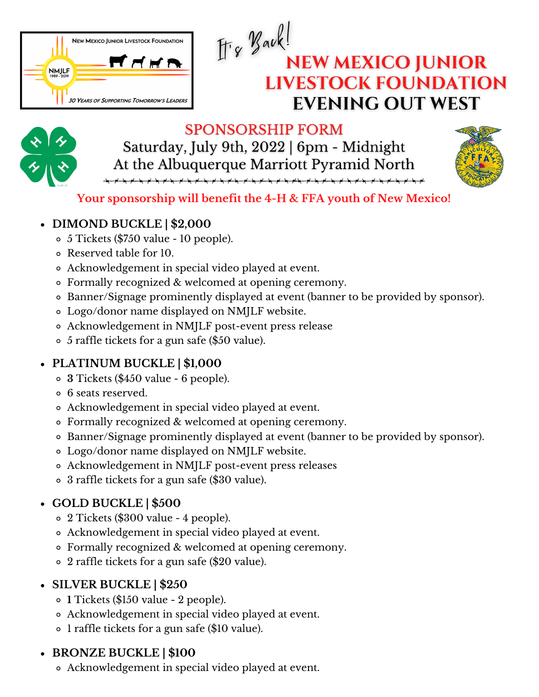

# $H_8$  Back! **NEW MEXICO JUNIOR LIVESTOCK FOUNDATION EVENING OUT WEST**



#### **SPONSORSHIP FORM** Saturday, July 9th, 2022 | 6pm - Midnight At the Albuquerque Marriott Pyramid North



## **Your sponsorship will benefit the 4-H & FFA youth of New Mexico!**

#### **DIMOND BUCKLE | \$2,000**

- 5 Tickets (\$750 value 10 people).
- Reserved table for 10.
- Acknowledgement in special video played at event.
- Formally recognized & welcomed at opening ceremony.
- Banner/Signage prominently displayed at event (banner to be provided by sponsor).
- Logo/donor name displayed on NMJLF website.
- Acknowledgement in NMJLF post-event press release
- 5 raffle tickets for a gun safe (\$50 value).

## **PLATINUM BUCKLE | \$1,000**

- **3** Tickets (\$450 value 6 people).
- 6 seats reserved.
- Acknowledgement in special video played at event.
- Formally recognized & welcomed at opening ceremony.
- Banner/Signage prominently displayed at event (banner to be provided by sponsor).
- Logo/donor name displayed on NMJLF website.
- Acknowledgement in NMJLF post-event press releases
- 3 raffle tickets for a gun safe (\$30 value).

# **GOLD BUCKLE | \$500**

- 2 Tickets (\$300 value 4 people).
- Acknowledgement in special video played at event.
- Formally recognized & welcomed at opening ceremony.
- 2 raffle tickets for a gun safe (\$20 value).

# **SILVER BUCKLE | \$250**

- **1** Tickets (\$150 value 2 people).
- Acknowledgement in special video played at event.
- 1 raffle tickets for a gun safe (\$10 value).

## **BRONZE BUCKLE | \$100**

Acknowledgement in special video played at event.